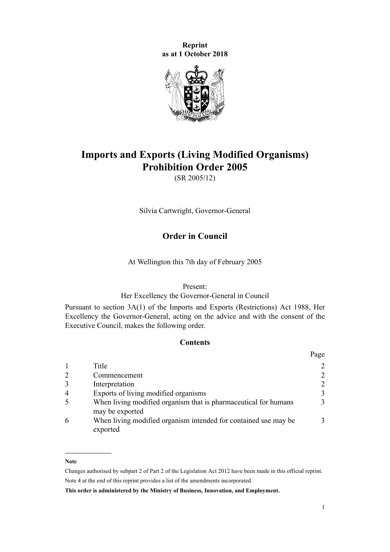**Reprint as at 1 October 2018**



# **Imports and Exports (Living Modified Organisms) Prohibition Order 2005**

(SR 2005/12)

Silvia Cartwright, Governor-General

## **Order in Council**

At Wellington this 7th day of February 2005

#### Present:

## Her Excellency the Governor-General in Council

Pursuant to [section 3A\(1\)](http://prd-lgnz-nlb.prd.pco.net.nz/pdflink.aspx?id=DLM137924) of the [Imports and Exports \(Restrictions\) Act 1988](http://prd-lgnz-nlb.prd.pco.net.nz/pdflink.aspx?id=DLM137587), Her Excellency the Governor-General, acting on the advice and with the consent of the Executive Council, makes the following order.

## **Contents**

|                |                                                                                    | Page |
|----------------|------------------------------------------------------------------------------------|------|
|                | Title                                                                              |      |
|                | Commencement                                                                       |      |
|                | Interpretation                                                                     |      |
| $\overline{4}$ | Exports of living modified organisms                                               | 3    |
|                | When living modified organism that is pharmaceutical for humans<br>may be exported |      |
|                | When living modified organism intended for contained use may be<br>exported        |      |

#### **Note**

Changes authorised by [subpart 2](http://prd-lgnz-nlb.prd.pco.net.nz/pdflink.aspx?id=DLM2998524) of Part 2 of the Legislation Act 2012 have been made in this official reprint. Note 4 at the end of this reprint provides a list of the amendments incorporated.

**This order is administered by the Ministry of Business, Innovation, and Employment.**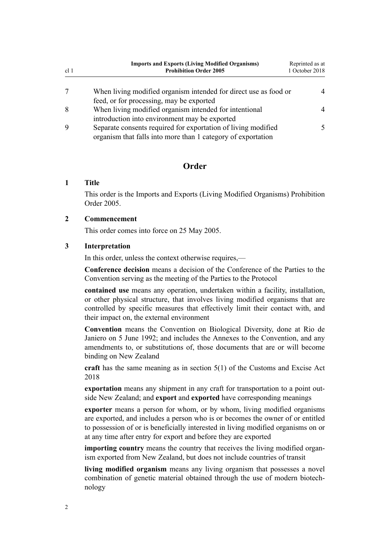<span id="page-1-0"></span>

| cl <sub>1</sub> | <b>Imports and Exports (Living Modified Organisms)</b><br><b>Prohibition Order 2005</b>                                       | Reprinted as at<br>1 October 2018 |
|-----------------|-------------------------------------------------------------------------------------------------------------------------------|-----------------------------------|
|                 | When living modified organism intended for direct use as food or                                                              |                                   |
|                 | feed, or for processing, may be exported                                                                                      |                                   |
| -8              | When living modified organism intended for intentional<br>introduction into environment may be exported                       |                                   |
|                 | Separate consents required for exportation of living modified<br>organism that falls into more than 1 category of exportation |                                   |

## **Order**

## **1 Title**

This order is the Imports and Exports (Living Modified Organisms) Prohibition Order 2005.

## **2 Commencement**

This order comes into force on 25 May 2005.

## **3 Interpretation**

In this order, unless the context otherwise requires,—

**Conference decision** means a decision of the Conference of the Parties to the Convention serving as the meeting of the Parties to the Protocol

**contained use** means any operation, undertaken within a facility, installation, or other physical structure, that involves living modified organisms that are controlled by specific measures that effectively limit their contact with, and their impact on, the external environment

**Convention** means the Convention on Biological Diversity, done at Rio de Janiero on 5 June 1992; and includes the Annexes to the Convention, and any amendments to, or substitutions of, those documents that are or will become binding on New Zealand

**craft** has the same meaning as in [section 5\(1\)](http://prd-lgnz-nlb.prd.pco.net.nz/pdflink.aspx?id=DLM7038971) of the Customs and Excise Act 2018

**exportation** means any shipment in any craft for transportation to a point outside New Zealand; and **export** and **exported** have corresponding meanings

**exporter** means a person for whom, or by whom, living modified organisms are exported, and includes a person who is or becomes the owner of or entitled to possession of or is beneficially interested in living modified organisms on or at any time after entry for export and before they are exported

**importing country** means the country that receives the living modified organism exported from New Zealand, but does not include countries of transit

**living modified organism** means any living organism that possesses a novel combination of genetic material obtained through the use of modern biotechnology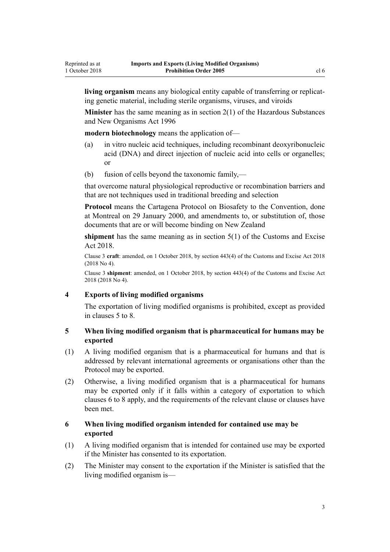<span id="page-2-0"></span>**living organism** means any biological entity capable of transferring or replicating genetic material, including sterile organisms, viruses, and viroids

**Minister** has the same meaning as in [section 2\(1\)](http://prd-lgnz-nlb.prd.pco.net.nz/pdflink.aspx?id=DLM381228) of the Hazardous Substances and New Organisms Act 1996

**modern biotechnology** means the application of—

- (a) in vitro nucleic acid techniques, including recombinant deoxyribonucleic acid (DNA) and direct injection of nucleic acid into cells or organelles; or
- (b) fusion of cells beyond the taxonomic family,—

that overcome natural physiological reproductive or recombination barriers and that are not techniques used in traditional breeding and selection

**Protocol** means the Cartagena Protocol on Biosafety to the Convention, done at Montreal on 29 January 2000, and amendments to, or substitution of, those documents that are or will become binding on New Zealand

**shipment** has the same meaning as in [section 5\(1\)](http://prd-lgnz-nlb.prd.pco.net.nz/pdflink.aspx?id=DLM7038971) of the Customs and Excise Act 2018.

Clause 3 **craft**: amended, on 1 October 2018, by [section 443\(4\)](http://prd-lgnz-nlb.prd.pco.net.nz/pdflink.aspx?id=DLM7039957) of the Customs and Excise Act 2018 (2018 No 4).

Clause 3 **shipment**: amended, on 1 October 2018, by [section 443\(4\)](http://prd-lgnz-nlb.prd.pco.net.nz/pdflink.aspx?id=DLM7039957) of the Customs and Excise Act 2018 (2018 No 4).

#### **4 Exports of living modified organisms**

The exportation of living modified organisms is prohibited, except as provided in clauses 5 to 8.

#### **5 When living modified organism that is pharmaceutical for humans may be exported**

- (1) A living modified organism that is a pharmaceutical for humans and that is addressed by relevant international agreements or organisations other than the Protocol may be exported.
- (2) Otherwise, a living modified organism that is a pharmaceutical for humans may be exported only if it falls within a category of exportation to which clauses 6 to 8 apply, and the requirements of the relevant clause or clauses have been met.

## **6 When living modified organism intended for contained use may be exported**

- (1) A living modified organism that is intended for contained use may be exported if the Minister has consented to its exportation.
- (2) The Minister may consent to the exportation if the Minister is satisfied that the living modified organism is—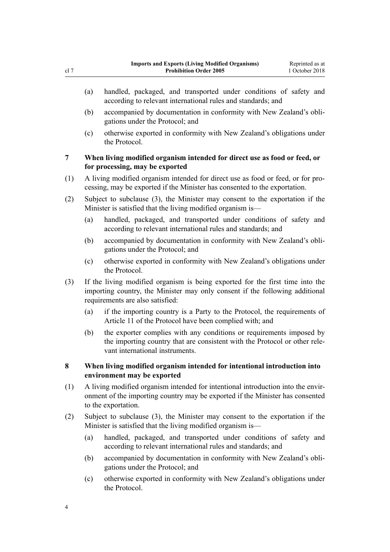- <span id="page-3-0"></span>(a) handled, packaged, and transported under conditions of safety and according to relevant international rules and standards; and
- (b) accompanied by documentation in conformity with New Zealand's obligations under the Protocol; and
- (c) otherwise exported in conformity with New Zealand's obligations under the Protocol.

## **7 When living modified organism intended for direct use as food or feed, or for processing, may be exported**

- (1) A living modified organism intended for direct use as food or feed, or for processing, may be exported if the Minister has consented to the exportation.
- (2) Subject to subclause (3), the Minister may consent to the exportation if the Minister is satisfied that the living modified organism is—
	- (a) handled, packaged, and transported under conditions of safety and according to relevant international rules and standards; and
	- (b) accompanied by documentation in conformity with New Zealand's obligations under the Protocol; and
	- (c) otherwise exported in conformity with New Zealand's obligations under the Protocol.
- (3) If the living modified organism is being exported for the first time into the importing country, the Minister may only consent if the following additional requirements are also satisfied:
	- (a) if the importing country is a Party to the Protocol, the requirements of Article 11 of the Protocol have been complied with; and
	- (b) the exporter complies with any conditions or requirements imposed by the importing country that are consistent with the Protocol or other relevant international instruments.

## **8 When living modified organism intended for intentional introduction into environment may be exported**

- (1) A living modified organism intended for intentional introduction into the environment of the importing country may be exported if the Minister has consented to the exportation.
- (2) Subject to subclause (3), the Minister may consent to the exportation if the Minister is satisfied that the living modified organism is—
	- (a) handled, packaged, and transported under conditions of safety and according to relevant international rules and standards; and
	- (b) accompanied by documentation in conformity with New Zealand's obligations under the Protocol; and
	- (c) otherwise exported in conformity with New Zealand's obligations under the Protocol.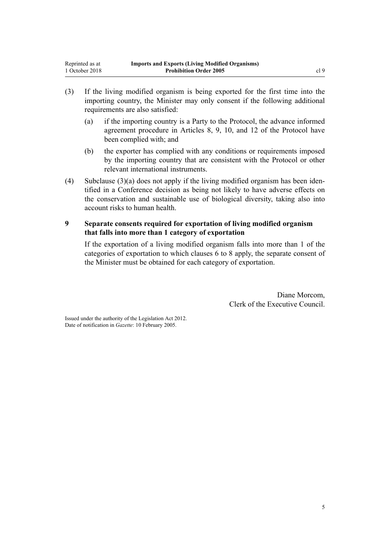- <span id="page-4-0"></span>(3) If the living modified organism is being exported for the first time into the importing country, the Minister may only consent if the following additional requirements are also satisfied:
	- (a) if the importing country is a Party to the Protocol, the advance informed agreement procedure in Articles 8, 9, 10, and 12 of the Protocol have been complied with; and
	- (b) the exporter has complied with any conditions or requirements imposed by the importing country that are consistent with the Protocol or other relevant international instruments.
- (4) Subclause (3)(a) does not apply if the living modified organism has been identified in a Conference decision as being not likely to have adverse effects on the conservation and sustainable use of biological diversity, taking also into account risks to human health.

## **9 Separate consents required for exportation of living modified organism that falls into more than 1 category of exportation**

If the exportation of a living modified organism falls into more than 1 of the categories of exportation to which [clauses 6 to 8](#page-2-0) apply, the separate consent of the Minister must be obtained for each category of exportation.

> Diane Morcom, Clerk of the Executive Council.

Issued under the authority of the [Legislation Act 2012](http://prd-lgnz-nlb.prd.pco.net.nz/pdflink.aspx?id=DLM2997643). Date of notification in *Gazette*: 10 February 2005.